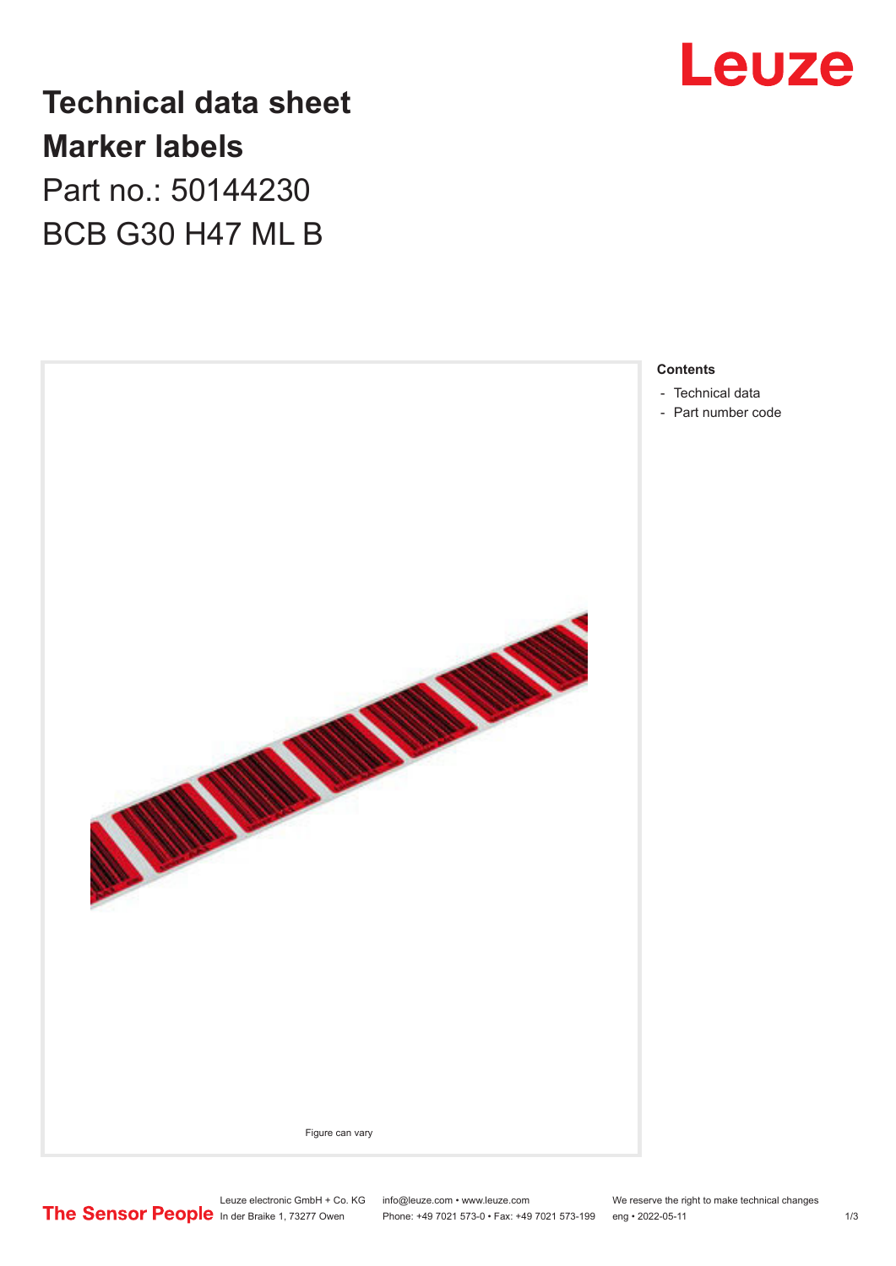

**Technical data sheet Marker labels** Part no.: 50144230

BCB G30 H47 ML B



- 
- [Part number code](#page-1-0)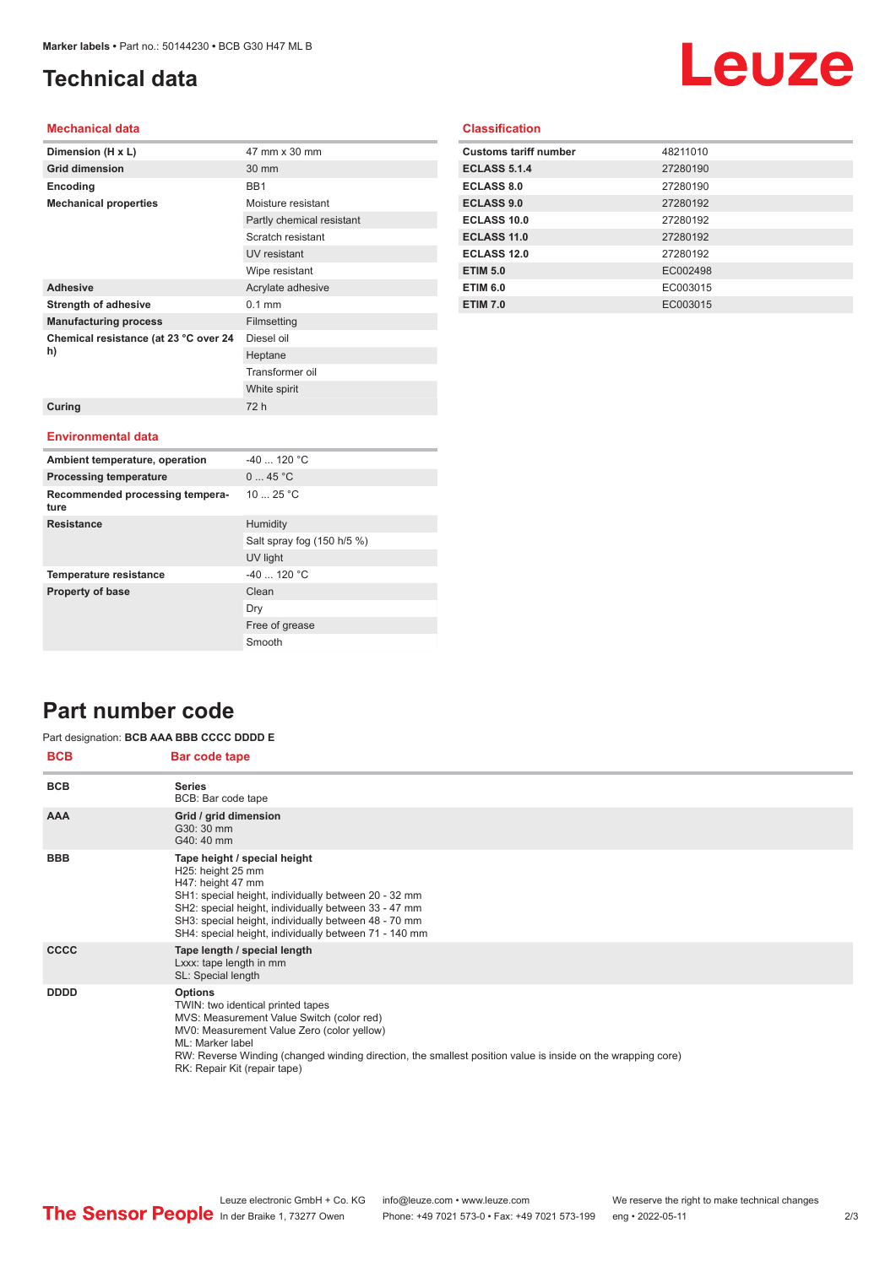# <span id="page-1-0"></span>**Technical data**

# Leuze

### **Mechanical data**

| Dimension (H x L)                       | 47 mm x 30 mm             |
|-----------------------------------------|---------------------------|
| <b>Grid dimension</b>                   | 30 mm                     |
| Encoding                                | BB1                       |
| <b>Mechanical properties</b>            | Moisture resistant        |
|                                         | Partly chemical resistant |
|                                         | Scratch resistant         |
|                                         | UV resistant              |
|                                         | Wipe resistant            |
| <b>Adhesive</b>                         | Acrylate adhesive         |
| <b>Strength of adhesive</b>             | $0.1$ mm                  |
| <b>Manufacturing process</b>            | Filmsetting               |
| Chemical resistance (at 23 °C over 24   | Diesel oil                |
| h)                                      | Heptane                   |
|                                         | Transformer oil           |
|                                         | White spirit              |
| Curing                                  | 72 h                      |
|                                         |                           |
| <b>Environmental data</b>               |                           |
| Ambient temperature, operation          | $-40$ 120 °C              |
| <b>Processing temperature</b>           | 045 °C                    |
| Recommended processing tempera-<br>ture | 1025 °C                   |

Salt spray fog (150 h/5 %)

UV light

Free of grease Smooth

Dry

|  | <b>Classification</b> |  |
|--|-----------------------|--|
|  |                       |  |
|  |                       |  |

| <b>Customs tariff number</b> | 48211010 |
|------------------------------|----------|
| <b>ECLASS 5.1.4</b>          | 27280190 |
| <b>ECLASS 8.0</b>            | 27280190 |
| <b>ECLASS 9.0</b>            | 27280192 |
| ECLASS 10.0                  | 27280192 |
| <b>ECLASS 11.0</b>           | 27280192 |
| <b>ECLASS 12.0</b>           | 27280192 |
| <b>ETIM 5.0</b>              | EC002498 |
| <b>ETIM 6.0</b>              | EC003015 |
| <b>ETIM 7.0</b>              | EC003015 |

# **Part number code**

#### **BCB Bar code tape** Part designation: **BCB AAA BBB CCCC DDDD E**

**Resistance** Humidity

**Temperature resistance**  $-40$  ... 120 °C **Property of base** Clean

| DUD         | <b>Dar code tape</b>                                                                                                                                                                                                                                                                                              |
|-------------|-------------------------------------------------------------------------------------------------------------------------------------------------------------------------------------------------------------------------------------------------------------------------------------------------------------------|
| <b>BCB</b>  | <b>Series</b><br>BCB: Bar code tape                                                                                                                                                                                                                                                                               |
| <b>AAA</b>  | Grid / grid dimension<br>G30: 30 mm<br>G40: 40 mm                                                                                                                                                                                                                                                                 |
| <b>BBB</b>  | Tape height / special height<br>H25: height 25 mm<br>H47: height 47 mm<br>SH1: special height, individually between 20 - 32 mm<br>SH2: special height, individually between 33 - 47 mm<br>SH3: special height, individually between 48 - 70 mm<br>SH4: special height, individually between 71 - 140 mm           |
| <b>CCCC</b> | Tape length / special length<br>Lxxx: tape length in mm<br>SL: Special length                                                                                                                                                                                                                                     |
| <b>DDDD</b> | <b>Options</b><br>TWIN: two identical printed tapes<br>MVS: Measurement Value Switch (color red)<br>MV0: Measurement Value Zero (color yellow)<br>ML: Marker label<br>RW: Reverse Winding (changed winding direction, the smallest position value is inside on the wrapping core)<br>RK: Repair Kit (repair tape) |